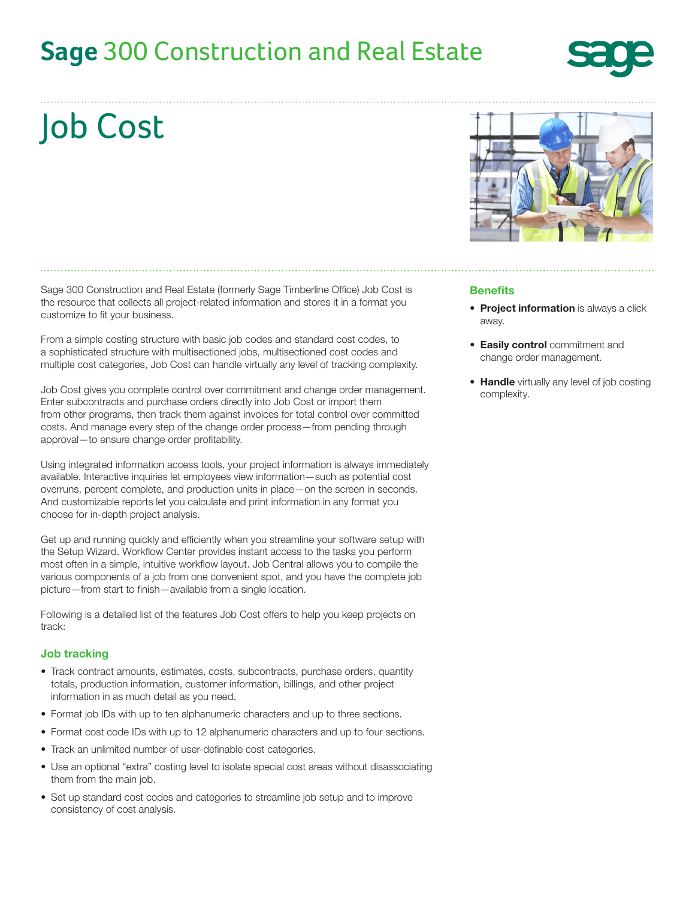## **Sage** [300 Construction and Real Estate](www.sage300construction.com)



# Job Cost

Sage 300 Construction and Real Estate (formerly Sage Timberline Office) Job Cost is the resource that collects all project-related information and stores it in a format you customize to fit your business.

From a simple costing structure with basic job codes and standard cost codes, to a sophisticated structure with multisectioned jobs, multisectioned cost codes and multiple cost categories, Job Cost can handle virtually any level of tracking complexity.

Job Cost gives you complete control over commitment and change order management. Enter subcontracts and purchase orders directly into Job Cost or import them from other programs, then track them against invoices for total control over committed costs. And manage every step of the change order process—from pending through approval—to ensure change order profitability.

Using integrated information access tools, your project information is always immediately available. Interactive inquiries let employees view information—such as potential cost overruns, percent complete, and production units in place—on the screen in seconds. And customizable reports let you calculate and print information in any format you choose for in-depth project analysis.

Get up and running quickly and efficiently when you streamline your software setup with the Setup Wizard. Workflow Center provides instant access to the tasks you perform most often in a simple, intuitive workflow layout. Job Central allows you to compile the various components of a job from one convenient spot, and you have the complete job picture—from start to finish—available from a single location.

Following is a detailed list of the features Job Cost offers to help you keep projects on track:

#### Job tracking

- Track contract amounts, estimates, costs, subcontracts, purchase orders, quantity totals, production information, customer information, billings, and other project information in as much detail as you need.
- Format job IDs with up to ten alphanumeric characters and up to three sections.
- Format cost code IDs with up to 12 alphanumeric characters and up to four sections.
- Track an unlimited number of user-definable cost categories.
- Use an optional "extra" costing level to isolate special cost areas without disassociating them from the main job.
- Set up standard cost codes and categories to streamline job setup and to improve consistency of cost analysis.



#### Benefits

- **Project information** is always a click away.
- Easily control commitment and change order management.
- Handle virtually any level of job costing complexity.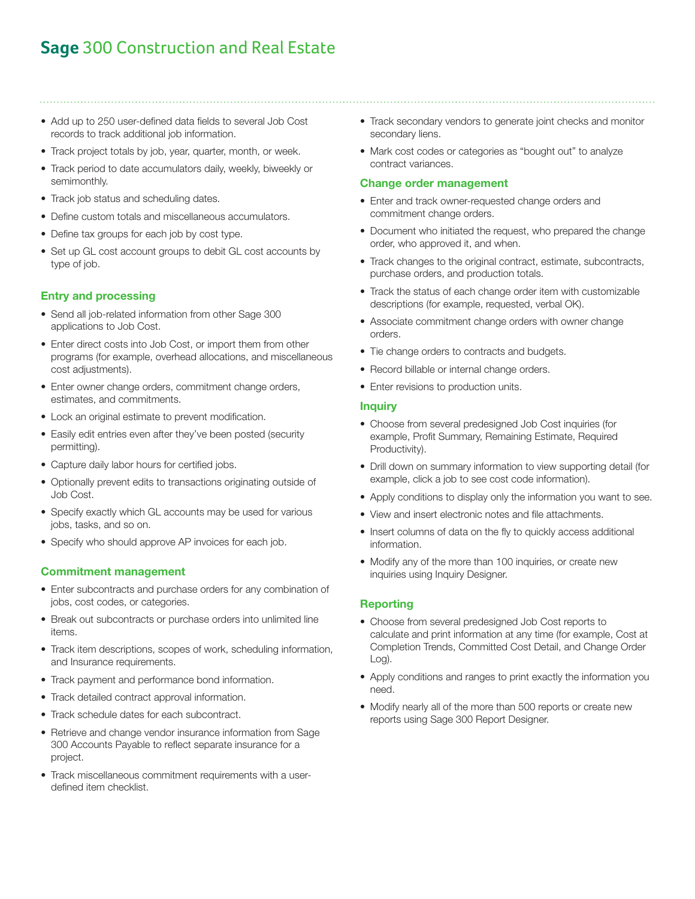## **Sage** 300 Construction and Real Estate

- Add up to 250 user-defined data fields to several Job Cost records to track additional job information.
- Track project totals by job, year, quarter, month, or week.
- Track period to date accumulators daily, weekly, biweekly or semimonthly.
- Track job status and scheduling dates.
- Define custom totals and miscellaneous accumulators.
- Define tax groups for each job by cost type.
- Set up GL cost account groups to debit GL cost accounts by type of job.

#### Entry and processing

- Send all job-related information from other Sage 300 applications to Job Cost.
- Enter direct costs into Job Cost, or import them from other programs (for example, overhead allocations, and miscellaneous cost adjustments).
- Enter owner change orders, commitment change orders, estimates, and commitments.
- Lock an original estimate to prevent modification.
- Easily edit entries even after they've been posted (security permitting).
- Capture daily labor hours for certified jobs.
- Optionally prevent edits to transactions originating outside of Job Cost.
- Specify exactly which GL accounts may be used for various jobs, tasks, and so on.
- Specify who should approve AP invoices for each job.

#### Commitment management

- Enter subcontracts and purchase orders for any combination of jobs, cost codes, or categories.
- Break out subcontracts or purchase orders into unlimited line items.
- Track item descriptions, scopes of work, scheduling information, and Insurance requirements.
- Track payment and performance bond information.
- Track detailed contract approval information.
- Track schedule dates for each subcontract.
- Retrieve and change vendor insurance information from Sage 300 Accounts Payable to reflect separate insurance for a project.
- Track miscellaneous commitment requirements with a userdefined item checklist.
- Track secondary vendors to generate joint checks and monitor secondary liens.
- Mark cost codes or categories as "bought out" to analyze contract variances.

#### Change order management

- Enter and track owner-requested change orders and commitment change orders.
- Document who initiated the request, who prepared the change order, who approved it, and when.
- Track changes to the original contract, estimate, subcontracts, purchase orders, and production totals.
- Track the status of each change order item with customizable descriptions (for example, requested, verbal OK).
- Associate commitment change orders with owner change orders.
- Tie change orders to contracts and budgets.
- Record billable or internal change orders.
- Enter revisions to production units.

#### **Inquiry**

- Choose from several predesigned Job Cost inquiries (for example, Profit Summary, Remaining Estimate, Required Productivity).
- Drill down on summary information to view supporting detail (for example, click a job to see cost code information).
- Apply conditions to display only the information you want to see.
- View and insert electronic notes and file attachments.
- Insert columns of data on the fly to quickly access additional information.
- Modify any of the more than 100 inquiries, or create new inquiries using Inquiry Designer.

#### Reporting

- Choose from several predesigned Job Cost reports to calculate and print information at any time (for example, Cost at Completion Trends, Committed Cost Detail, and Change Order Log).
- Apply conditions and ranges to print exactly the information you need.
- Modify nearly all of the more than 500 reports or create new reports using Sage 300 Report Designer.